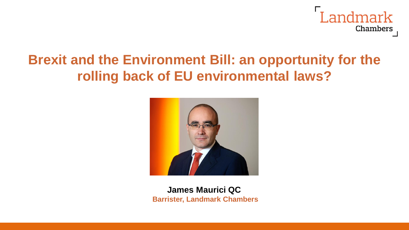

# **Brexit and the Environment Bill: an opportunity for the rolling back of EU environmental laws?**



**James Maurici QC Barrister, Landmark Chambers**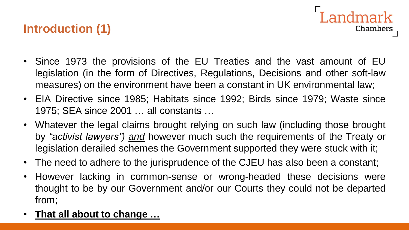#### **Introduction (1)**

• Since 1973 the provisions of the EU Treaties and the vast amount of EU legislation (in the form of Directives, Regulations, Decisions and other soft-law measures) on the environment have been a constant in UK environmental law;

andmark

- EIA Directive since 1985; Habitats since 1992; Birds since 1979; Waste since 1975; SEA since 2001 … all constants …
- Whatever the legal claims brought relying on such law (including those brought by *"activist lawyers") and* however much such the requirements of the Treaty or legislation derailed schemes the Government supported they were stuck with it;
- The need to adhere to the jurisprudence of the CJEU has also been a constant;
- However lacking in common-sense or wrong-headed these decisions were thought to be by our Government and/or our Courts they could not be departed from;
- **That all about to change …**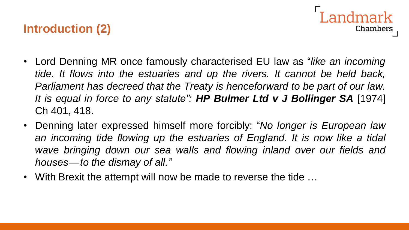#### **Introduction (2)**

- andmark **Chambers**
- Lord Denning MR once famously characterised EU law as "*like an incoming tide. It flows into the estuaries and up the rivers. It cannot be held back, Parliament has decreed that the Treaty is henceforward to be part of our law. It is equal in force to any statute": HP Bulmer Ltd v J Bollinger SA* [1974] Ch 401, 418.
- Denning later expressed himself more forcibly: "*No longer is European law an incoming tide flowing up the estuaries of England. It is now like a tidal wave bringing down our sea walls and flowing inland over our fields and houses — to the dismay of all."*
- With Brexit the attempt will now be made to reverse the tide …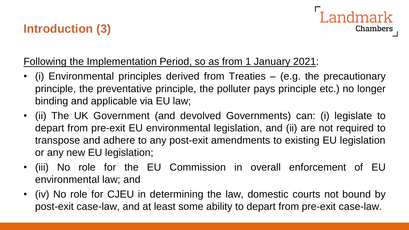### **Introduction (3)**



#### Following the Implementation Period, so as from 1 January 2021:

- (i) Environmental principles derived from Treaties (e.g. the precautionary principle, the preventative principle, the polluter pays principle etc.) no longer binding and applicable via EU law;
- (ii) The UK Government (and devolved Governments) can: (i) legislate to depart from pre-exit EU environmental legislation, and (ii) are not required to transpose and adhere to any post-exit amendments to existing EU legislation or any new EU legislation;
- (iii) No role for the EU Commission in overall enforcement of EU environmental law; and
- (iv) No role for CJEU in determining the law, domestic courts not bound by post-exit case-law, and at least some ability to depart from pre-exit case-law.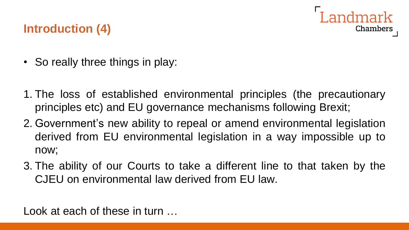

#### **Introduction (4)**

- So really three things in play:
- 1. The loss of established environmental principles (the precautionary principles etc) and EU governance mechanisms following Brexit;
- 2. Government's new ability to repeal or amend environmental legislation derived from EU environmental legislation in a way impossible up to now;
- 3. The ability of our Courts to take a different line to that taken by the CJEU on environmental law derived from EU law.

Look at each of these in turn …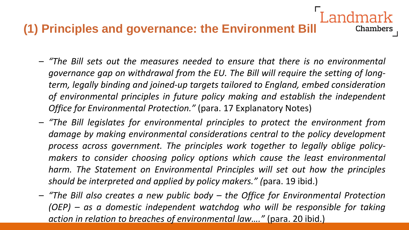- *"The Bill sets out the measures needed to ensure that there is no environmental governance gap on withdrawal from the EU. The Bill will require the setting of longterm, legally binding and joined-up targets tailored to England, embed consideration of environmental principles in future policy making and establish the independent Office for Environmental Protection."* (para. 17 Explanatory Notes)
- *"The Bill legislates for environmental principles to protect the environment from damage by making environmental considerations central to the policy development process across government. The principles work together to legally oblige policymakers to consider choosing policy options which cause the least environmental harm. The Statement on Environmental Principles will set out how the principles should be interpreted and applied by policy makers." (*para. 19 ibid.)
- *"The Bill also creates a new public body – the Office for Environmental Protection (OEP) – as a domestic independent watchdog who will be responsible for taking action in relation to breaches of environmental law…."* (para. 20 ibid.)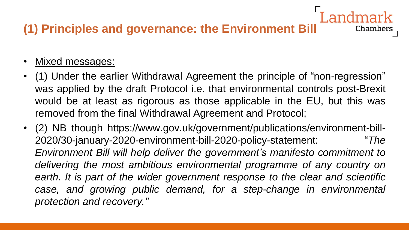#### • Mixed messages:

• (1) Under the earlier Withdrawal Agreement the principle of "non-regression" was applied by the draft Protocol i.e. that environmental controls post-Brexit would be at least as rigorous as those applicable in the EU, but this was removed from the final Withdrawal Agreement and Protocol;

**Chambers** 

• (2) NB though https://www.gov.uk/government/publications/environment-bill-2020/30-january-2020-environment-bill-2020-policy-statement: "*The Environment Bill will help deliver the government's manifesto commitment to delivering the most ambitious environmental programme of any country on earth. It is part of the wider government response to the clear and scientific case, and growing public demand, for a step-change in environmental protection and recovery."*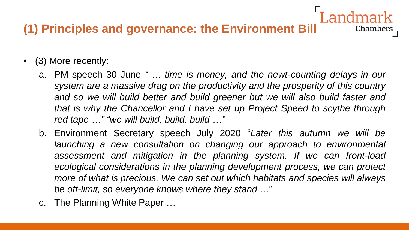- (3) More recently:
	- a. PM speech 30 June *" … time is money, and the newt-counting delays in our system are a massive drag on the productivity and the prosperity of this country and so we will build better and build greener but we will also build faster and that is why the Chancellor and I have set up Project Speed to scythe through red tape …" "we will build, build, build …"*

- b. Environment Secretary speech July 2020 "*Later this autumn we will be launching a new consultation on changing our approach to environmental assessment and mitigation in the planning system. If we can front-load ecological considerations in the planning development process, we can protect more of what is precious. We can set out which habitats and species will always be off-limit, so everyone knows where they stand* …"
- c. The Planning White Paper …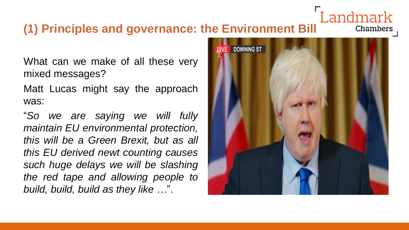What can we make of all these very mixed messages?

Matt Lucas might say the approach was:

"*So we are saying we will fully maintain EU environmental protection, this will be a Green Brexit, but as all this EU derived newt counting causes such huge delays we will be slashing the red tape and allowing people to build, build, build as they like …*".



andmark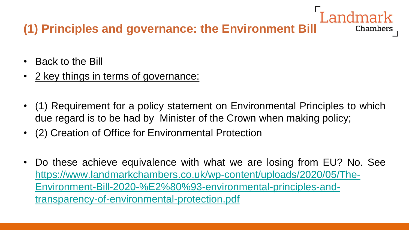- Back to the Bill
- 2 key things in terms of governance:
- (1) Requirement for a policy statement on Environmental Principles to which due regard is to be had by Minister of the Crown when making policy;

- (2) Creation of Office for Environmental Protection
- Do these achieve equivalence with what we are losing from EU? No. See [https://www.landmarkchambers.co.uk/wp-content/uploads/2020/05/The-](https://www.landmarkchambers.co.uk/wp-content/uploads/2020/05/The-Environment-Bill-2020-%E2%80%93-environmental-principles-and-transparency-of-environmental-protection.pdf)Environment-Bill-2020-%E2%80%93-environmental-principles-andtransparency-of-environmental-protection.pdf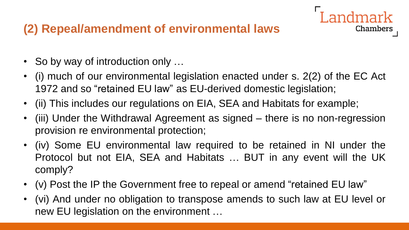## **(2) Repeal/amendment of environmental laws**

- So by way of introduction only ...
- (i) much of our environmental legislation enacted under s. 2(2) of the EC Act 1972 and so "retained EU law" as EU-derived domestic legislation;

ndmark

- (ii) This includes our regulations on EIA, SEA and Habitats for example;
- (iii) Under the Withdrawal Agreement as signed there is no non-regression provision re environmental protection;
- (iv) Some EU environmental law required to be retained in NI under the Protocol but not EIA, SEA and Habitats … BUT in any event will the UK comply?
- (v) Post the IP the Government free to repeal or amend "retained EU law"
- (vi) And under no obligation to transpose amends to such law at EU level or new EU legislation on the environment …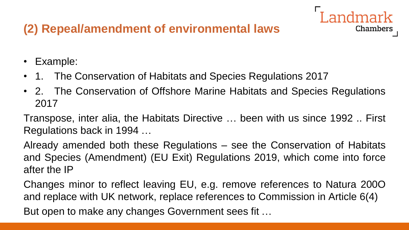# **(2) Repeal/amendment of environmental laws**



- 1. The Conservation of Habitats and Species Regulations 2017
- 2. The Conservation of Offshore Marine Habitats and Species Regulations 2017

Chambers

Transpose, inter alia, the Habitats Directive … been with us since 1992 .. First Regulations back in 1994 …

Already amended both these Regulations – see the Conservation of Habitats and Species (Amendment) (EU Exit) Regulations 2019, which come into force after the IP

Changes minor to reflect leaving EU, e.g. remove references to Natura 200O and replace with UK network, replace references to Commission in Article 6(4) But open to make any changes Government sees fit …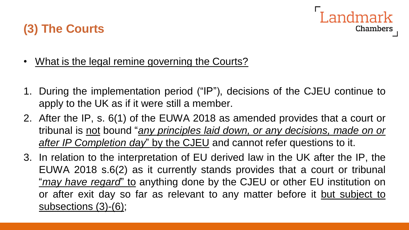

- **(3) The Courts**
- What is the legal remine governing the Courts?
- 1. During the implementation period ("IP"), decisions of the CJEU continue to apply to the UK as if it were still a member.
- 2. After the IP, s. 6(1) of the EUWA 2018 as amended provides that a court or tribunal is not bound "*any principles laid down, or any decisions, made on or after IP Completion day*" by the CJEU and cannot refer questions to it.
- 3. In relation to the interpretation of EU derived law in the UK after the IP, the EUWA 2018 s.6(2) as it currently stands provides that a court or tribunal "*may have regard*" to anything done by the CJEU or other EU institution on or after exit day so far as relevant to any matter before it but subject to subsections (3)-(6);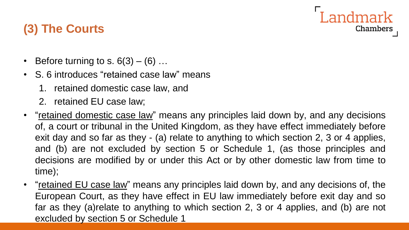#### **Landmark** Chambers

## **(3) The Courts**

- Before turning to s.  $6(3) (6)$  ...
- S. 6 introduces "retained case law" means
	- 1. retained domestic case law, and
	- 2. retained EU case law;
- "retained domestic case law" means any principles laid down by, and any decisions of, a court or tribunal in the United Kingdom, as they have effect immediately before exit day and so far as they - (a) relate to anything to which section 2, 3 or 4 applies, and (b) are not excluded by section 5 or Schedule 1, (as those principles and decisions are modified by or under this Act or by other domestic law from time to time);
- "retained EU case law" means any principles laid down by, and any decisions of, the European Court, as they have effect in EU law immediately before exit day and so far as they (a)relate to anything to which section 2, 3 or 4 applies, and (b) are not excluded by section 5 or Schedule 1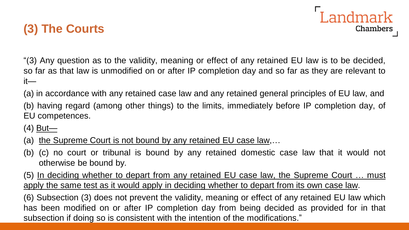

"(3) Any question as to the validity, meaning or effect of any retained EU law is to be decided, so far as that law is unmodified on or after IP completion day and so far as they are relevant to it—

(a) in accordance with any retained case law and any retained general principles of EU law, and

(b) having regard (among other things) to the limits, immediately before IP completion day, of EU competences.

 $(4)$  But—

- (a) the Supreme Court is not bound by any retained EU case law,...
- (b) (c) no court or tribunal is bound by any retained domestic case law that it would not otherwise be bound by.

(5) In deciding whether to depart from any retained EU case law, the Supreme Court ... must apply the same test as it would apply in deciding whether to depart from its own case law.

(6) Subsection (3) does not prevent the validity, meaning or effect of any retained EU law which has been modified on or after IP completion day from being decided as provided for in that subsection if doing so is consistent with the intention of the modifications."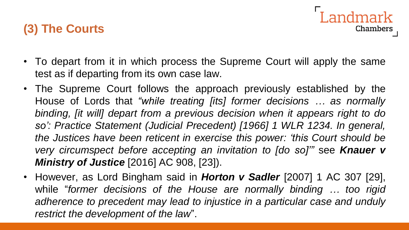• To depart from it in which process the Supreme Court will apply the same test as if departing from its own case law.

andmark

- The Supreme Court follows the approach previously established by the House of Lords that *"while treating [its] former decisions … as normally binding, [it will] depart from a previous decision when it appears right to do so': Practice Statement (Judicial Precedent) [1966] 1 WLR 1234. In general, the Justices have been reticent in exercise this power: 'this Court should be very circumspect before accepting an invitation to [do so]'"* see *Knauer v Ministry of Justice* [2016] AC 908, [23]).
- However, as Lord Bingham said in *Horton v Sadler* [2007] 1 AC 307 [29], while "*former decisions of the House are normally binding … too rigid adherence to precedent may lead to injustice in a particular case and unduly restrict the development of the law*".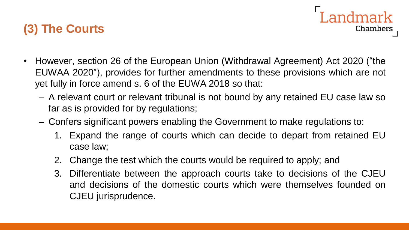

- However, section 26 of the European Union (Withdrawal Agreement) Act 2020 ("the EUWAA 2020"), provides for further amendments to these provisions which are not yet fully in force amend s. 6 of the EUWA 2018 so that:
	- A relevant court or relevant tribunal is not bound by any retained EU case law so far as is provided for by regulations;
	- Confers significant powers enabling the Government to make regulations to:
		- 1. Expand the range of courts which can decide to depart from retained EU case law;

Landmark

- 2. Change the test which the courts would be required to apply; and
- 3. Differentiate between the approach courts take to decisions of the CJEU and decisions of the domestic courts which were themselves founded on CJEU jurisprudence.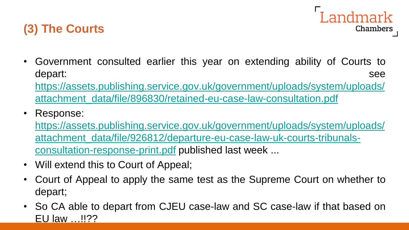



• Government consulted earlier this year on extending ability of Courts to depart: see

[https://assets.publishing.service.gov.uk/government/uploads/system/uploads/](https://assets.publishing.service.gov.uk/government/uploads/system/uploads/attachment_data/file/896830/retained-eu-case-law-consultation.pdf) attachment\_data/file/896830/retained-eu-case-law-consultation.pdf

• Response:

https://assets.publishing.service.gov.uk/government/uploads/system/uploads/ [attachment\\_data/file/926812/departure-eu-case-law-uk-courts-tribunals](https://assets.publishing.service.gov.uk/government/uploads/system/uploads/attachment_data/file/926812/departure-eu-case-law-uk-courts-tribunals-consultation-response-print.pdf)consultation-response-print.pdf published last week ...

- Will extend this to Court of Appeal;
- Court of Appeal to apply the same test as the Supreme Court on whether to depart;
- So CA able to depart from CJEU case-law and SC case-law if that based on EU law …!!??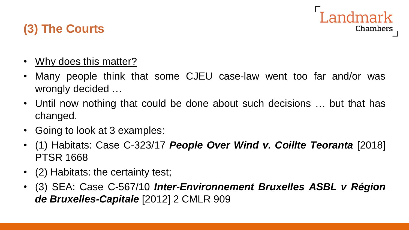

- Why does this matter?
- Many people think that some CJEU case-law went too far and/or was wrongly decided …
- Until now nothing that could be done about such decisions ... but that has changed.
- Going to look at 3 examples:
- (1) Habitats: Case C-323/17 *People Over Wind v. Coillte Teoranta* [2018] PTSR 1668
- (2) Habitats: the certainty test;
- (3) SEA: Case C-567/10 *Inter-Environnement Bruxelles ASBL v Région de Bruxelles-Capitale* [2012] 2 CMLR 909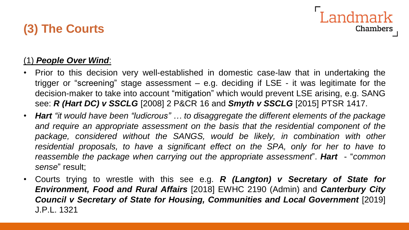#### **Landmark Chambers**

#### (1) *People Over Wind*:

- Prior to this decision very well-established in domestic case-law that in undertaking the trigger or "screening" stage assessment – e.g. deciding if LSE - it was legitimate for the decision-maker to take into account "mitigation" which would prevent LSE arising, e.g. SANG see: *R (Hart DC) v SSCLG* [2008] 2 P&CR 16 and *Smyth v SSCLG* [2015] PTSR 1417.
- *Hart "it would have been "ludicrous" … to disaggregate the different elements of the package and require an appropriate assessment on the basis that the residential component of the package, considered without the SANGS, would be likely, in combination with other residential proposals, to have a significant effect on the SPA, only for her to have to reassemble the package when carrying out the appropriate assessment*". *Hart* - "*common sense*" result;
- Courts trying to wrestle with this see e.g. *R (Langton) v Secretary of State for Environment, Food and Rural Affairs* [2018] EWHC 2190 (Admin) and *Canterbury City Council v Secretary of State for Housing, Communities and Local Government* [2019] J.P.L. 1321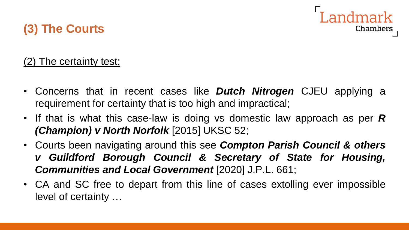

#### (2) The certainty test;

- Concerns that in recent cases like *Dutch Nitrogen* CJEU applying a requirement for certainty that is too high and impractical;
- If that is what this case-law is doing vs domestic law approach as per *R (Champion) v North Norfolk* [2015] UKSC 52;
- Courts been navigating around this see *Compton Parish Council & others v Guildford Borough Council & Secretary of State for Housing, Communities and Local Government* [2020] J.P.L. 661;
- CA and SC free to depart from this line of cases extolling ever impossible level of certainty …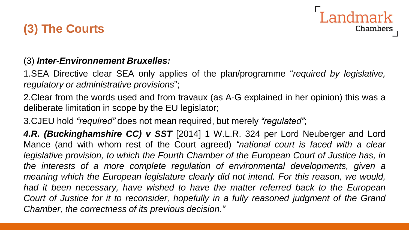



#### (3) *Inter-Environnement Bruxelles:*

1.SEA Directive clear SEA only applies of the plan/programme "*required by legislative, regulatory or administrative provisions*";

2.Clear from the words used and from travaux (as A-G explained in her opinion) this was a deliberate limitation in scope by the EU legislator;

3.CJEU hold *"required"* does not mean required, but merely *"regulated"*;

*4.R. (Buckinghamshire CC) v SST* [2014] 1 W.L.R. 324 per Lord Neuberger and Lord Mance (and with whom rest of the Court agreed) *"national court is faced with a clear legislative provision, to which the Fourth Chamber of the European Court of Justice has, in the interests of a more complete regulation of environmental developments, given a meaning which the European legislature clearly did not intend. For this reason, we would, had it been necessary, have wished to have the matter referred back to the European Court of Justice for it to reconsider, hopefully in a fully reasoned judgment of the Grand Chamber, the correctness of its previous decision."*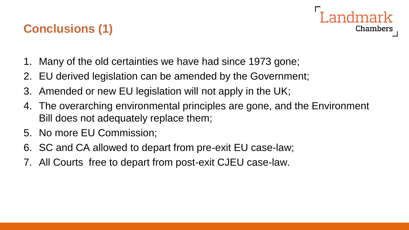## **Conclusions (1)**



- 1. Many of the old certainties we have had since 1973 gone;
- 2. EU derived legislation can be amended by the Government;
- 3. Amended or new EU legislation will not apply in the UK;
- 4. The overarching environmental principles are gone, and the Environment Bill does not adequately replace them;
- 5. No more EU Commission;
- 6. SC and CA allowed to depart from pre-exit EU case-law;
- 7. All Courts free to depart from post-exit CJEU case-law.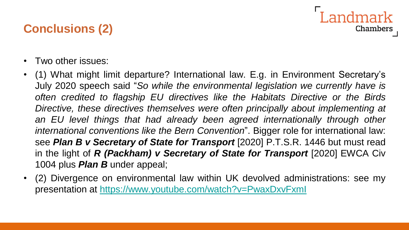## **Conclusions (2)**

andmark Chambers

- Two other issues:
- (1) What might limit departure? International law. E.g. in Environment Secretary's July 2020 speech said "*So while the environmental legislation we currently have is often credited to flagship EU directives like the Habitats Directive or the Birds Directive, these directives themselves were often principally about implementing at an EU level things that had already been agreed internationally through other international conventions like the Bern Convention*". Bigger role for international law: see *Plan B v Secretary of State for Transport* [2020] P.T.S.R. 1446 but must read in the light of *R (Packham) v Secretary of State for Transport* [2020] EWCA Civ 1004 plus *Plan B* under appeal;
- (2) Divergence on environmental law within UK devolved administrations: see my presentation at <https://www.youtube.com/watch?v=PwaxDxvFxmI>